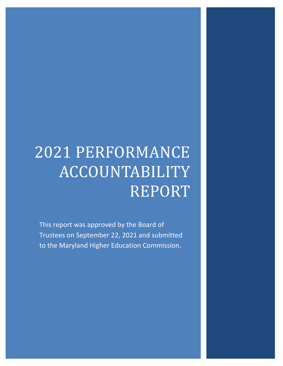# 2021 PERFORMANCE ACCOUNTABILITY REPORT

This report was approved by the Board of Trustees on September 22, 2021 and submitted to the Maryland Higher Education Commission.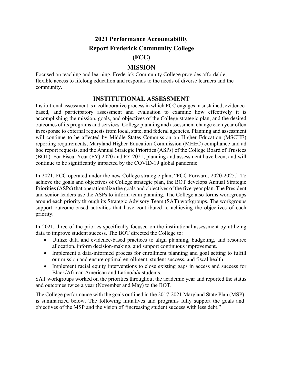# **2021 Performance Accountability Report Frederick Community College**

## **(FCC)**

## **MISSION**

Focused on teaching and learning, Frederick Community College provides affordable, flexible access to lifelong education and responds to the needs of diverse learners and the community.

## **INSTITUTIONAL ASSESSMENT**

Institutional assessment is a collaborative process in which FCC engages in sustained, evidencebased, and participatory assessment and evaluation to examine how effectively it is accomplishing the mission, goals, and objectives of the College strategic plan, and the desired outcomes of its programs and services. College planning and assessment change each year often in response to external requests from local, state, and federal agencies. Planning and assessment will continue to be affected by Middle States Commission on Higher Education (MSCHE) reporting requirements, Maryland Higher Education Commission (MHEC) compliance and ad hoc report requests, and the Annual Strategic Priorities (ASPs) of the College Board of Trustees (BOT). For Fiscal Year (FY) 2020 and FY 2021, planning and assessment have been, and will continue to be significantly impacted by the COVID-19 global pandemic.

In 2021, FCC operated under the new College strategic plan, "FCC Forward, 2020-2025." To achieve the goals and objectives of College strategic plan, the BOT develops Annual Strategic Priorities (ASPs) that operationalize the goals and objectives of the five-year plan. The President and senior leaders use the ASPs to inform team planning. The College also forms workgroups around each priority through its Strategic Advisory Team (SAT) workgroups. The workgroups support outcome-based activities that have contributed to achieving the objectives of each priority.

In 2021, three of the priories specifically focused on the institutional assessment by utilizing data to improve student success. The BOT directed the College to:

- Utilize data and evidence-based practices to align planning, budgeting, and resource allocation, inform decision-making, and support continuous improvement.
- Implement a data-informed process for enrollment planning and goal setting to fulfill our mission and ensure optimal enrollment, student success, and fiscal health.
- Implement racial equity interventions to close existing gaps in access and success for Black/African American and Latino/a/x students.

SAT workgroups worked on the priorities throughout the academic year and reported the status and outcomes twice a year (November and May) to the BOT.

The College performance with the goals outlined in the 2017-2021 Maryland State Plan (MSP) is summarized below. The following initiatives and programs fully support the goals and objectives of the MSP and the vision of "increasing student success with less debt."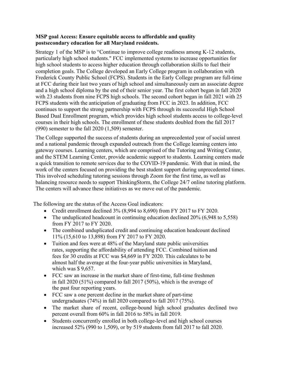#### **MSP goal Access: Ensure equitable access to affordable and quality postsecondary education for all Maryland residents.**

Strategy 1 of the MSP is to "Continue to improve college readiness among K-12 students, particularly high school students." FCC implemented systems to increase opportunities for high school students to access higher education through collaboration skills to fuel their completion goals. The College developed an Early College program in collaboration with Frederick County Public School (FCPS). Students in the Early College program are full-time at FCC during their last two years of high school and simultaneously earn an associate degree and a high school diploma by the end of their senior year. The first cohort began in fall 2020 with 23 students from nine FCPS high schools. The second cohort began in fall 2021 with 25 FCPS students with the anticipation of graduating from FCC in 2023. In addition, FCC continues to support the strong partnership with FCPS through its successful High School Based Dual Enrollment program, which provides high school students access to college-level courses in their high schools. The enrollment of these students doubled from the fall 2017 (990) semester to the fall 2020 (1,509) semester.

The College supported the success of students during an unprecedented year of social unrest and a national pandemic through expanded outreach from the College learning centers into gateway courses. Learning centers, which are comprised of the Tutoring and Writing Center, and the STEM Learning Center, provide academic support to students. Learning centers made a quick transition to remote services due to the COVID-19 pandemic. With that in mind, the work of the centers focused on providing the best student support during unprecedented times. This involved scheduling tutoring sessions through Zoom for the first time, as well as balancing resource needs to support ThinkingStorm, the College 24/7 online tutoring platform. The centers will advance these initiatives as we move out of the pandemic.

The following are the status of the Access Goal indicators:

- Credit enrollment declined 3% (8,994 to 8,690) from FY 2017 to FY 2020.
- The unduplicated headcount in continuing education declined 20% (6,948 to 5,558) from FY 2017 to FY 2020.
- The combined unduplicated credit and continuing education headcount declined 11% (15,610 to 13,898) from FY 2017 to FY 2020.
- Tuition and fees were at 48% of the Maryland state public universities rates, supporting the affordability of attending FCC. Combined tuition and fees for 30 credits at FCC was \$4,669 in FY 2020. This calculates to be almost half the average at the four-year public universities in Maryland, which was  $$ 9,657$ .
- FCC saw an increase in the market share of first-time, full-time freshmen in fall 2020 (51%) compared to fall 2017 (50%), which is the average of the past four reporting years.
- FCC saw a one percent decline in the market share of part-time undergraduates (74%) in fall 2020 compared to fall 2017 (75%).
- The market share of recent, college-bound high school graduates declined two percent overall from 60% in fall 2016 to 58% in fall 2019.
- Students concurrently enrolled in both college-level and high school courses increased 52% (990 to 1,509), or by 519 students from fall 2017 to fall 2020.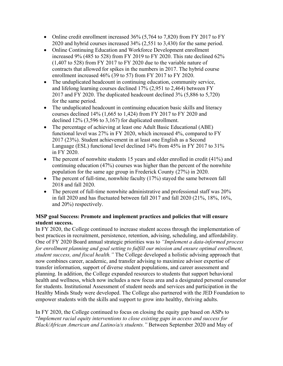- Online credit enrollment increased 36% (5,764 to 7,820) from FY 2017 to FY 2020 and hybrid courses increased 34% (2,551 to 3,430) for the same period.
- Online Continuing Education and Workforce Development enrollment increased 9% (485 to 528) from FY 2019 to FY 2020. This rate declined 62% (1,407 to 528) from FY 2017 to FY 2020 due to the variable nature of contracts that allowed for spikes in the numbers in 2017. The hybrid course enrollment increased 46% (39 to 57) from FY 2017 to FY 2020.
- The unduplicated headcount in continuing education, community service, and lifelong learning courses declined 17% (2,951 to 2,464) between FY 2017 and FY 2020. The duplicated headcount declined 3% (5,886 to 5,720) for the same period.
- The unduplicated headcount in continuing education basic skills and literacy courses declined 14% (1,665 to 1,424) from FY 2017 to FY 2020 and declined 12% (3,596 to 3,167) for duplicated enrollment.
- The percentage of achieving at least one Adult Basic Educational (ABE) functional level was 27% in FY 2020, which increased 4%, compared to FY 2017 (23%). Student achievement in at least one English as a Second Language (ESL) functional level declined 14% from 45% in FY 2017 to 31% in FY 2020.
- The percent of nonwhite students 15 years and older enrolled in credit (41%) and continuing education (47%) courses was higher than the percent of the nonwhite population for the same age group in Frederick County (27%) in 2020.
- The percent of full-time, nonwhite faculty (17%) stayed the same between fall 2018 and fall 2020.
- The percent of full-time nonwhite administrative and professional staff was 20% in fall 2020 and has fluctuated between fall 2017 and fall 2020 (21%, 18%, 16%, and 20%) respectively.

## **MSP goal Success: Promote and implement practices and policies that will ensure student success.**

In FY 2020, the College continued to increase student access through the implementation of best practices in recruitment, persistence, retention, advising, scheduling, and affordability. One of FY 2020 Board annual strategic priorities was to *"Implement a data-informed process for enrollment planning and goal setting to fulfill our mission and ensure optimal enrollment, student success, and fiscal health."* The College developed a holistic advising approach that now combines career, academic, and transfer advising to maximize advisor expertise of transfer information, support of diverse student populations, and career assessment and planning. In addition, the College expanded resources to students that support behavioral health and wellness, which now includes a new focus area and a designated personal counselor for students. Institutional Assessment of student needs and services and participation in the Healthy Minds Study were developed. The College also partnered with the JED Foundation to empower students with the skills and support to grow into healthy, thriving adults.

In FY 2020, the College continued to focus on closing the equity gap based on ASPs to "*Implement racial equity interventions to close existing gaps in access and success for Black/African American and Latino/a/x students."* Between September 2020 and May of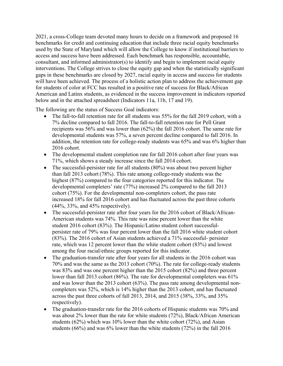2021, a cross-College team devoted many hours to decide on a framework and proposed 16 benchmarks for credit and continuing education that include three racial equity benchmarks used by the State of Maryland which will allow the College to know if institutional barriers to access and success have been addressed. Each benchmark has responsible, accountable, consultant, and informed administrator(s) to identify and begin to implement racial equity interventions. The College strives to close the equity gap and when the statistically significant gaps in these benchmarks are closed by 2027, racial equity in access and success for students will have been achieved. The process of a holistic action plan to address the achievement gap for students of color at FCC has resulted in a positive rate of success for Black/African American and Latinx students, as evidenced in the success improvement in indicators reported below and in the attached spreadsheet (Indicators 11a, 11b, 17 and 19).

The following are the status of Success Goal indicators:

- The fall-to-fall retention rate for all students was 55% for the fall 2019 cohort, with a 7% decline compared to fall 2016. The fall-to-fall retention rate for Pell Grant recipients was 56% and was lower than (62%) the fall 2016 cohort. The same rate for developmental students was 57%, a seven percent decline compared to fall 2016. In addition, the retention rate for college-ready students was 65% and was 6% higher than 2016 cohort.
- The developmental student completion rate for fall 2016 cohort after four years was 71%, which shows a steady increase since the fall 2014 cohort.
- The successful-persister rate for all students (80%) was about two percent higher than fall 2013 cohort (78%). This rate among college-ready students was the highest (87%) compared to the four categories reported for this indicator. The developmental completers' rate (77%) increased 2% compared to the fall 2013 cohort (75%). For the developmental non-completers cohort, the pass rate increased 18% for fall 2016 cohort and has fluctuated across the past three cohorts (44%, 33%, and 45% respectively).
- The successful-persister rate after four years for the 2016 cohort of Black/African-American students was 74%. This rate was nine percent lower than the white student 2016 cohort (83%). The Hispanic/Latino student cohort successfulpersister rate of 79% was four percent lower than the fall 2016 white student cohort (83%). The 2016 cohort of Asian students achieved a 71% successful- persister rate, which was 12 percent lower than the white student cohort (83%) and lowest among the four racial/ethnic groups reported for this indicator.
- The graduation-transfer rate after four years for all students in the 2016 cohort was 70% and was the same as the 2013 cohort (70%). The rate for college-ready students was 83% and was one percent higher than the 2015 cohort (82%) and three percent lower than fall 2013 cohort (86%). The rate for developmental completers was 61% and was lower than the 2013 cohort (63%). The pass rate among developmental noncompleters was 52%, which is 14% higher than the 2013 cohort, and has fluctuated across the past three cohorts of fall 2013, 2014, and 2015 (38%, 33%, and 35% respectively).
- The graduation-transfer rate for the 2016 cohorts of Hispanic students was 70% and was about 2% lower than the rate for white students (72%), Black/African American students (62%) which was 10% lower than the white cohort (72%), and Asian students (66%) and was 6% lower than the white students (72%) in the fall 2016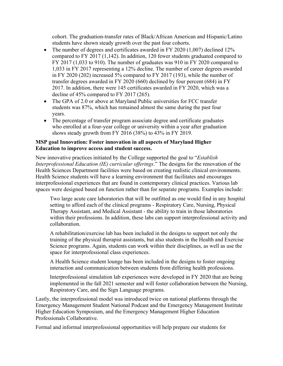cohort. The graduation-transfer rates of Black/African American and Hispanic/Latino students have shown steady growth over the past four cohorts.

- The number of degrees and certificates awarded in FY 2020 (1,007) declined 12% compared to FY 2017 (1,142). In addition, 120 fewer students graduated compared to FY 2017 (1,033 to 910). The number of graduates was 910 in FY 2020 compared to 1,033 in FY 2017 representing a 12% decline. The number of career degrees awarded in FY 2020 (202) increased 5% compared to FY 2017 (193), while the number of transfer degrees awarded in FY 2020 (660) declined by four percent (684) in FY 2017. In addition, there were 145 certificates awarded in FY 2020, which was a decline of 45% compared to FY 2017 (265).
- The GPA of 2.0 or above at Maryland Public universities for FCC transfer students was 87%, which has remained almost the same during the past four years.
- The percentage of transfer program associate degree and certificate graduates who enrolled at a four-year college or university within a year after graduation shows steady growth from FY 2016 (38%) to 43% in FY 2019.

## **MSP goal Innovation: Foster innovation in all aspects of Maryland Higher Education to improve access and student success.**

New innovative practices initiated by the College supported the goal to "*Establish Interprofessional Education (IE) curricular offerings*." The designs for the renovation of the Health Sciences Department facilities were based on creating realistic clinical environments. Health Science students will have a learning environment that facilitates and encourages interprofessional experiences that are found in contemporary clinical practices. Various lab spaces were designed based on function rather than for separate programs. Examples include:

Two large acute care laboratories that will be outfitted as one would find in any hospital setting to afford each of the clinical programs - Respiratory Care, Nursing, Physical Therapy Assistant, and Medical Assistant - the ability to train in those laboratories within their professions. In addition, these labs can support interprofessional activity and collaboration.

A rehabilitation/exercise lab has been included in the designs to support not only the training of the physical therapist assistants, but also students in the Health and Exercise Science programs. Again, students can work within their disciplines, as well as use the space for interprofessional class experiences.

A Health Science student lounge has been included in the designs to foster ongoing interaction and communication between students from differing health professions.

Interprofessional simulation lab experiences were developed in FY 2020 that are being implemented in the fall 2021 semester and will foster collaboration between the Nursing, Respiratory Care, and the Sign Language programs.

Lastly, the interprofessional model was introduced twice on national platforms through the Emergency Management Student National Podcast and the Emergency Management Institute Higher Education Symposium, and the Emergency Management Higher Education Professionals Collaborative.

Formal and informal interprofessional opportunities will help prepare our students for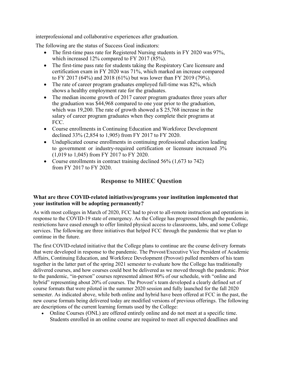interprofessional and collaborative experiences after graduation.

The following are the status of Success Goal indicators:

- The first-time pass rate for Registered Nursing students in FY 2020 was 97%, which increased 12% compared to FY 2017 (85%).
- The first-time pass rate for students taking the Respiratory Care licensure and certification exam in FY 2020 was 71%, which marked an increase compared to FY 2017 (64%) and 2018 (61%) but was lower than FY 2019 (79%).
- The rate of career program graduates employed full-time was 82%, which shows a healthy employment rate for the graduates.
- The median income growth of 2017 career program graduates three years after the graduation was \$44,968 compared to one year prior to the graduation, which was 19,200. The rate of growth showed a \$ 25,768 increase in the salary of career program graduates when they complete their programs at FCC.
- Course enrollments in Continuing Education and Workforce Development declined 33% (2,854 to 1,905) from FY 2017 to FY 2020.
- Unduplicated course enrollments in continuing professional education leading to government or industry-required certification or licensure increased 3% (1,019 to 1,045) from FY 2017 to FY 2020.
- Course enrollments in contract training declined 56% (1,673 to 742) from FY 2017 to FY 2020.

## **Response to MHEC Question**

## **What are three COVID-related initiatives/programs your institution implemented that your institution will be adopting permanently?**

As with most colleges in March of 2020, FCC had to pivot to all-remote instruction and operations in response to the COVID-19 state of emergency. As the College has progressed through the pandemic, restrictions have eased enough to offer limited physical access to classrooms, labs, and some College services. The following are three initiatives that helped FCC through the pandemic that we plan to continue in the future.

The first COVID-related initiative that the College plans to continue are the course delivery formats that were developed in response to the pandemic. The Provost/Executive Vice President of Academic Affairs, Continuing Education, and Workforce Development (Provost) pulled members of his team together in the latter part of the spring 2021 semester to evaluate how the College has traditionally delivered courses, and how courses could best be delivered as we moved through the pandemic. Prior to the pandemic, "in-person" courses represented almost 80% of our schedule, with "online and hybrid" representing about 20% of courses. The Provost's team developed a clearly defined set of course formats that were piloted in the summer 2020 session and fully launched for the fall 2020 semester. As indicated above, while both online and hybrid have been offered at FCC in the past, the new course formats being delivered today are modified versions of previous offerings. The following are descriptions of the current learning formats used by the College:

• Online Courses (ONL) are offered entirely online and do not meet at a specific time. Students enrolled in an online course are required to meet all expected deadlines and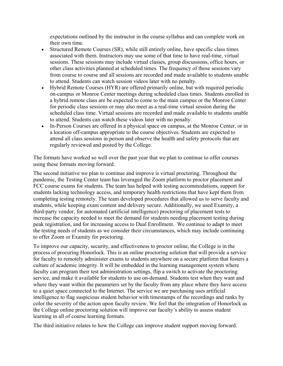expectations outlined by the instructor in the course syllabus and can complete work on their own time.

- Structured Remote Courses (SR), while still entirely online, have specific class times associated with them. Instructors may use some of that time to have real-time, virtual sessions. These sessions may include virtual classes, group discussions, office hours, or other class activities planned at scheduled times. The frequency of those sessions vary from course to course and all sessions are recorded and made available to students unable to attend. Students can watch session videos later with no penalty.
- Hybrid Remote Courses (HYR) are offered primarily online, but with required periodic on-campus or Monroe Center meetings during scheduled class times. [Students enrolled in](webextlink://Students%20enrolled%20in%20a%20Hybrid%20Remote%20class%20will%20be%20expected%20to%20come%20to%20campus%20for%20periodic%20class%20sessions%20that%20your%20instructor%20will%20tell%20you%20about%20at%20the%20start%20of%20class,%20or%20may%20also%20meet%20as%20a%20real-time%20online%20session%20during%20the%20scheduled%20class%20time./)  [a hybrid remote class are be expected to come to the main campus or the Monroe Center](webextlink://Students%20enrolled%20in%20a%20Hybrid%20Remote%20class%20will%20be%20expected%20to%20come%20to%20campus%20for%20periodic%20class%20sessions%20that%20your%20instructor%20will%20tell%20you%20about%20at%20the%20start%20of%20class,%20or%20may%20also%20meet%20as%20a%20real-time%20online%20session%20during%20the%20scheduled%20class%20time./)  for periodic class sessions or [may also meet as a real-time virtual session during the](webextlink://Students%20enrolled%20in%20a%20Hybrid%20Remote%20class%20will%20be%20expected%20to%20come%20to%20campus%20for%20periodic%20class%20sessions%20that%20your%20instructor%20will%20tell%20you%20about%20at%20the%20start%20of%20class,%20or%20may%20also%20meet%20as%20a%20real-time%20online%20session%20during%20the%20scheduled%20class%20time./)  [scheduled class time. Virtual sessions are recorded and made available to students unable](webextlink://Students%20enrolled%20in%20a%20Hybrid%20Remote%20class%20will%20be%20expected%20to%20come%20to%20campus%20for%20periodic%20class%20sessions%20that%20your%20instructor%20will%20tell%20you%20about%20at%20the%20start%20of%20class,%20or%20may%20also%20meet%20as%20a%20real-time%20online%20session%20during%20the%20scheduled%20class%20time./)  to attend. Students can [watch these videos later with no penalty.](webextlink://Students%20enrolled%20in%20a%20Hybrid%20Remote%20class%20will%20be%20expected%20to%20come%20to%20campus%20for%20periodic%20class%20sessions%20that%20your%20instructor%20will%20tell%20you%20about%20at%20the%20start%20of%20class,%20or%20may%20also%20meet%20as%20a%20real-time%20online%20session%20during%20the%20scheduled%20class%20time./)
- In-Person Courses are offered in a physical space on campus, at the Monroe Center, or in a location off-campus appropriate to the course objectives. Students are expected to attend all class sessions in person and observe the health and safety protocols that are regularly reviewed and posted by the College.

The formats have worked so well over the past year that we plan to continue to offer courses using these formats moving forward.

The second initiative we plan to continue and improve is virtual proctoring. Throughout the pandemic, the Testing Center team has leveraged the Zoom platform to proctor placement and FCC course exams for students. The team has helped with testing accommodations, support for students lacking technology access, and temporary health restrictions that have kept them from completing testing remotely. The team developed procedures that allowed us to serve faculty and students, while keeping exam content and delivery secure. Additionally, we used Examity, a third-party vendor, for automated (artificial intelligence) proctoring of placement tests to increase the capacity needed to meet the demand for students needing placement testing during peak registration, and for increasing access to Dual Enrollment. We continue to adapt to meet the testing needs of students as we consider their circumstances, which may include continuing to offer Zoom or Examity for proctoring.

To improve our capacity, security, and effectiveness to proctor online, the College is in the process of procuring Honorlock. This is an online proctoring solution that will provide a service for faculty to remotely administer exams to students anywhere on a secure platform that fosters a culture of academic integrity. It will be embedded in the learning management system where faculty can program their test administration settings, flip a switch to activate the proctoring service, and make it available for students to use on-demand. Students test when they want and where they want within the parameters set by the faculty from any place where they have access to a quiet space connected to the Internet. The service we are purchasing uses artificial intelligence to flag suspicious student behavior with timestamps of the recordings and ranks by color the severity of the action upon faculty review. We feel that the integration of Honorlock as the College online proctoring solution will improve our faculty's ability to assess student learning in all of course learning formats.

The third initiative relates to how the College can improve student support moving forward.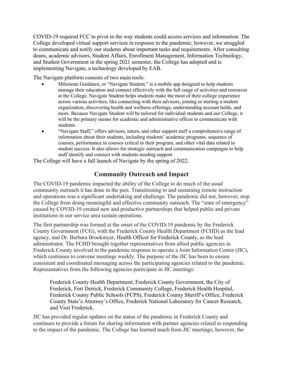COVID-19 required FCC to pivot in the way students could access services and information. The College developed virtual support services in response to the pandemic; however, we struggled to communicate and notify our students about important tasks and requirements. After consulting deans, academic advisors, Student Affairs, Enrollment Management, Information Technology, and Student Government in the spring 2021 semester, the College has adopted and is implementing Navigate, a technology developed by EAB.

The Navigate platform consists of two main tools:

- Milestone Guidance, or "Navigate Student," is a mobile app designed to help students manage their education and connect effectively with the full range of activities and resources at the College. Navigate Student helps students make the most of their college experience across various activities, like connecting with their advisors, joining or starting a student organization, discovering health and wellness offerings, understanding account holds, and more. Because Navigate Student will be tailored for individual students and our College, it will be the primary means for academic and administrative offices to communicate with students.
- "Navigate Staff," offers advisors, tutors, and other support staff a comprehensive range of information about their students, including students' academic programs, sequence of courses, performance in courses critical to their program, and other vital data related to student success. It also allows for strategic outreach and communication campaigns to help staff identify and connect with students needing support.

The College will have a full launch of Navigate by the spring of 2022.

## **Community Outreach and Impact**

The COVID-19 pandemic impacted the ability of the College to do much of the usual community outreach it has done in the past. Transitioning to and sustaining remote instruction and operations was a significant undertaking and challenge. The pandemic did not, however, stop the College from doing meaningful and effective community outreach. The "state of emergency" caused by COVID-19 created new and productive partnerships that helped public and private institutions in our service area sustain operations.

The first partnership was formed at the onset of the COVID-19 pandemic by the Frederick County Government (FCG), with the Frederick County Health Department (FCHD) as the lead agency, and Dr. Barbara Brookmyer, Health Officer for Frederick County, as the lead administrator. The FCHD brought together representatives from allied public agencies in Frederick County involved in the pandemic response to operate a Joint Information Center (JIC), which continues to convene meetings weekly. The purpose of the JIC has been to ensure consistent and coordinated messaging across the participating agencies related to the pandemic. Representatives from the following agencies participate in JIC meetings:

Frederick County Health Department, Frederick County Government, the City of Frederick, Fort Detrick, Frederick Community College, Frederick Health Hospital, Frederick County Public Schools (FCPS), Frederick County Sheriff's Office, Frederick County State's Attorney's Office, Frederick National Laboratory for Cancer Research, and Visit Frederick.

JIC has provided regular updates on the status of the pandemic in Frederick County and continues to provide a forum for sharing information with partner agencies related to responding to the impact of the pandemic. The College has learned much from JIC meetings; however, the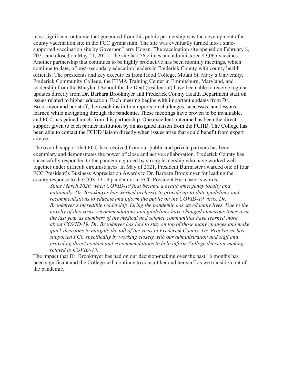most significant outcome that generated from this public partnership was the development of a county vaccination site in the FCC gymnasium. The site was eventually turned into a statesupported vaccination site by Governor Larry Hogan. The vaccination site opened on February 8, 2021 and closed on May 21, 2021. The site had 56 clinics and administered 43,065 vaccines. Another partnership that continues to be highly productive has been monthly meetings, which continue to date, of post-secondary education leaders in Frederick County with county health officials. The presidents and key executives from Hood College, Mount St. Mary's University, Frederick Community College, the FEMA Training Center in Emmitsburg, Maryland, and leadership from the Maryland School for the Deaf (residential) have been able to receive regular updates directly from Dr. Barbara Brookmyer and Frederick County Health Department staff on issues related to higher education. Each meeting begins with important updates from Dr. Brookmyer and her staff, then each institution reports on challenges, successes, and lessons learned while navigating through the pandemic. These meetings have proven to be invaluable, and FCC has gained much from this partnership. One excellent outcome has been the direct support given to each partner institution by an assigned liaison from the FCHD. The College has been able to contact the FCHD liaison directly when issues arise that could benefit from expert advice.

The overall support that FCC has received from our public and private partners has been exemplary and demonstrates the power of close and active collaboration. Frederick County has successfully responded to the pandemic guided by strong leadership who have worked well together under difficult circumstances. In May of 2021, President Burmaster awarded one of four FCC President's Business Appreciation Awards to Dr. Barbara Brookmyer for leading the county response to the COVID-19 pandemic. In FCC President Burmaster's words:

*Since March 2020, when COVID-19 first became a health emergency locally and nationally, Dr. Brookmyer has worked tirelessly to provide up-to-date guidelines and recommendations to educate and inform the public on the COVID-19 virus. Dr. Brookmyer's incredible leadership during the pandemic has saved many lives. Due to the novelty of this virus, recommendations and guidelines have changed numerous times over the last year as members of the medical and science communities have learned more about COVID-19. Dr. Brookmyer has had to stay on top of those many changes and make quick decisions to mitigate the toll of the virus in Frederick County. Dr. Brookmyer has supported FCC specifically by working closely with our administration and staff and providing direct contact and recommendations to help inform College decision-making related to COVID-19.*

The impact that Dr. Brookmyer has had on our decision-making over the past 16 months has been significant and the College will continue to consult her and her staff as we transition out of the pandemic.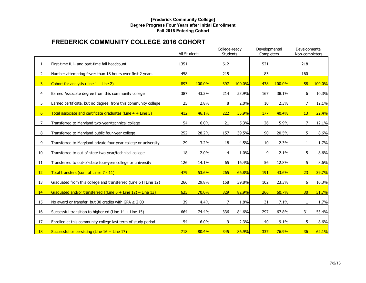## **[Frederick Community College] Degree Progress Four Years after Initial Enrollment Fall 2016 Entering Cohort**

# **FREDERICK COMMUNITY COLLEGE 2016 COHORT**

|                |                                                                    | All Students |          | College-ready<br><b>Students</b> |        | Developmental<br>Completers |        | Developmental<br>Non-completers |        |
|----------------|--------------------------------------------------------------------|--------------|----------|----------------------------------|--------|-----------------------------|--------|---------------------------------|--------|
|                |                                                                    |              |          |                                  |        |                             |        |                                 |        |
| $\mathbf{1}$   | First-time full- and part-time fall headcount                      | 1351         |          | 612                              |        | 521                         |        | 218                             |        |
| $\overline{2}$ | Number attempting fewer than 18 hours over first 2 years           | 458          |          | 215                              |        | 83                          |        | 160                             |        |
| 3 <sup>1</sup> | Cohort for analysis (Line $1 -$ Line 2)                            | 893          | 100.0%   | 397                              | 100.0% | 438                         | 100.0% | 58                              | 100.0% |
| $\overline{4}$ | Earned Associate degree from this community college                | 387          | 43.3%    | 214                              | 53.9%  | 167                         | 38.1%  | 6                               | 10.3%  |
| 5              | Earned certificate, but no degree, from this community college     | 25           | 2.8%     | 8                                | 2.0%   | 10                          | 2.3%   | 7                               | 12.1%  |
| 6 <sup>1</sup> | Total associate and certificate graduates (Line $4 +$ Line 5)      | 412          | 46.1%    | 222                              | 55.9%  | 177                         | 40.4%  | 13                              | 22.4%  |
| $\overline{7}$ | Transferred to Maryland two-year/technical college                 | 54           | 6.0%     | 21                               | 5.3%   | 26                          | 5.9%   | 7                               | 12.1%  |
| 8              | Transferred to Maryland public four-year college                   | 252          | 28.2%    | 157                              | 39.5%  | 90                          | 20.5%  | 5                               | 8.6%   |
| 9              | Transferred to Maryland private four-year college or university    | 29           | 3.2%     | 18                               | 4.5%   | 10                          | 2.3%   | 1                               | 1.7%   |
| 10             | Transferred to out-of-state two-year/technical college             | 18           | 2.0%     | $\overline{4}$                   | 1.0%   | 9                           | 2.1%   | 5                               | 8.6%   |
| 11             | Transferred to out-of-state four-year college or university        | 126          | 14.1%    | 65                               | 16.4%  | 56                          | 12.8%  | 5                               | 8.6%   |
| 12             | Total transfers (sum of Lines 7 - 11)                              | 479          | 53.6%    | 265                              | 66.8%  | 191                         | 43.6%  | 23                              | 39.7%  |
| 13             | Graduated from this college and transferred (Line $6 \Pi$ Line 12) | 266          | 29.8%    | 158                              | 39.8%  | 102                         | 23.3%  | 6                               | 10.3%  |
| 14             | Graduated and/or transferred $\{$ (Line 6 + Line 12) – Line 13}    | 625          | $70.0\%$ | 329                              | 82.9%  | 266                         | 60.7%  | 30 <sub>2</sub>                 | 51.7%  |
| 15             | No award or transfer, but 30 credits with GPA $\geq 2.00$          | 39           | 4.4%     | $\overline{7}$                   | 1.8%   | 31                          | 7.1%   | $\mathbf{1}$                    | 1.7%   |
| 16             | Successful transition to higher ed (Line $14 +$ Line 15)           | 664          | 74.4%    | 336                              | 84.6%  | 297                         | 67.8%  | 31                              | 53.4%  |
| 17             | Enrolled at this community college last term of study period       | 54           | 6.0%     | 9                                | 2.3%   | 40                          | 9.1%   | 5                               | 8.6%   |
| <b>18</b>      | Successful or persisting (Line $16 +$ Line 17)                     | 718          | 80.4%    | 345                              | 86.9%  | 337                         | 76.9%  | 36                              | 62.1%  |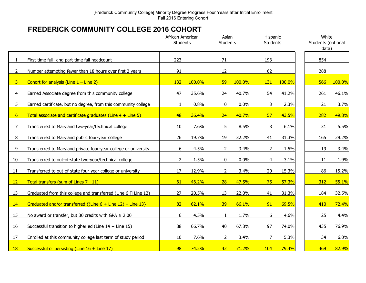# **FREDERICK COMMUNITY COLLEGE 2016 COHORT**

|                       |                                                                    | African American<br><b>Students</b> |        | Asian<br><b>Students</b> |        | Hispanic<br><b>Students</b> |        | White<br>Students (optional<br>data) |              |
|-----------------------|--------------------------------------------------------------------|-------------------------------------|--------|--------------------------|--------|-----------------------------|--------|--------------------------------------|--------------|
|                       | First-time full- and part-time fall headcount                      | 223                                 |        | 71                       |        | 193                         |        | 854                                  |              |
| $\mathbf{2}^{\prime}$ | Number attempting fewer than 18 hours over first 2 years           | 91                                  |        | 12                       |        | 62                          |        | 288                                  |              |
| 3 <sup>1</sup>        | Cohort for analysis (Line $1 -$ Line 2)                            | 132                                 | 100.0% | 59                       | 100.0% | 131                         | 100.0% | 566                                  | 100.0%       |
| 4                     | Earned Associate degree from this community college                | 47                                  | 35.6%  | 24                       | 40.7%  | 54                          | 41.2%  | 261                                  | 46.1%        |
| 5                     | Earned certificate, but no degree, from this community college     | 1                                   | 0.8%   | $\mathbf 0$              | 0.0%   | 3                           | 2.3%   | 21                                   | 3.7%         |
| 6                     | Total associate and certificate graduates (Line $4 +$ Line 5)      | 48                                  | 36.4%  | 24                       | 40.7%  | 57                          | 43.5%  | 282                                  | 49.8%        |
| 7                     | Transferred to Maryland two-year/technical college                 | 10                                  | 7.6%   | 5                        | 8.5%   | 8                           | 6.1%   | 31                                   | 5.5%         |
| 8                     | Transferred to Maryland public four-year college                   | 26                                  | 19.7%  | 19                       | 32.2%  | 41                          | 31.3%  | 165                                  | 29.2%        |
| 9                     | Transferred to Maryland private four-year college or university    | 6                                   | 4.5%   | $\overline{2}$           | 3.4%   | $\overline{2}$              | 1.5%   | 19                                   | 3.4%         |
| 10                    | Transferred to out-of-state two-year/technical college             | $\overline{2}$                      | 1.5%   | 0                        | 0.0%   | 4                           | 3.1%   | 11                                   | 1.9%         |
| 11                    | Transferred to out-of-state four-year college or university        | 17                                  | 12.9%  | $\overline{2}$           | 3.4%   | 20                          | 15.3%  | 86                                   | 15.2%        |
| 12                    | Total transfers (sum of Lines 7 - 11)                              | 61                                  | 46.2%  | 28                       | 47.5%  | 75                          | 57.3%  | 312                                  | 55.1%        |
| 13                    | Graduated from this college and transferred (Line 6 $\Pi$ Line 12) | 27                                  | 20.5%  | 13                       | 22.0%  | 41                          | 31.3%  | 184                                  | 32.5%        |
| 14                    | Graduated and/or transferred $\{$ (Line 6 + Line 12) – Line 13}    | 82                                  | 62.1%  | 39                       | 66.1%  | 91                          | 69.5%  | 410                                  | <b>72.4%</b> |
| 15                    | No award or transfer, but 30 credits with GPA $\geq 2.00$          | 6                                   | 4.5%   | $\mathbf{1}$             | 1.7%   | 6                           | 4.6%   | 25                                   | 4.4%         |
| 16                    | Successful transition to higher ed (Line $14 +$ Line 15)           | 88                                  | 66.7%  | 40                       | 67.8%  | 97                          | 74.0%  | 435                                  | 76.9%        |
| 17                    | Enrolled at this community college last term of study period       | 10                                  | 7.6%   | $\overline{2}$           | 3.4%   | $\overline{7}$              | 5.3%   | 34                                   | 6.0%         |
| <b>18</b>             | Successful or persisting (Line $16 +$ Line 17)                     | 98                                  | 74.2%  | 42                       | 71.2%  | 104                         | 79.4%  | 469                                  | 82.9%        |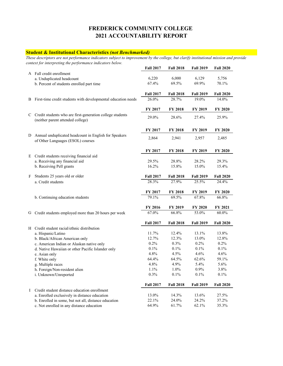#### **Student & Institutional Characteristics** *(not Benchmarked)*

*These descriptors are not performance indicators subject to improvement by the college, but clarify institutional mission and provide context for interpreting the performance indicators below.* 

|          |                                                                                                  | <b>Fall 2017</b> | <b>Fall 2018</b> | <b>Fall 2019</b> | <b>Fall 2020</b> |
|----------|--------------------------------------------------------------------------------------------------|------------------|------------------|------------------|------------------|
|          | A Fall credit enrollment                                                                         |                  |                  |                  |                  |
|          | a. Unduplicated headcount                                                                        | 6,220            | 6,000            | 6,129            | 5,756            |
|          | b. Percent of students enrolled part time                                                        | 67.4%            | 69.5%            | 69.9%            | 70.1%            |
|          |                                                                                                  | <b>Fall 2017</b> | <b>Fall 2018</b> | <b>Fall 2019</b> | <b>Fall 2020</b> |
| B        | First-time credit students with developmental education needs                                    | 26.0%            | 28.7%            | 19.0%            | 14.0%            |
|          |                                                                                                  | FY 2017          | <b>FY 2018</b>   | FY 2019          | FY 2020          |
|          | C Credit students who are first-generation college students<br>(neither parent attended college) | 29.0%            | 28.6%            | 27.4%            | 25.9%            |
|          |                                                                                                  | FY 2017          | FY 2018          | FY 2019          | FY 2020          |
| D        | Annual unduplicated headcount in English for Speakers<br>of Other Languages (ESOL) courses       | 2,864            | 2,941            | 2,957            | 2,485            |
|          |                                                                                                  | FY 2017          | FY 2018          | FY 2019          | FY 2020          |
| Ε        | Credit students receiving financial aid                                                          |                  |                  |                  |                  |
|          | a. Receiving any financial aid                                                                   | 29.5%            | 28.8%            | 28.2%            | 29.3%            |
|          | b. Receiving Pell grants                                                                         | 16.2%            | 15.8%            | 15.0%            | 15.4%            |
| F        | Students 25 years old or older                                                                   | <b>Fall 2017</b> | <b>Fall 2018</b> | <b>Fall 2019</b> | <b>Fall 2020</b> |
|          | a. Credit students                                                                               | 28.3%            | 27.9%            | 25.5%            | 24.4%            |
|          |                                                                                                  | FY 2017          | <b>FY 2018</b>   | FY 2019          | FY 2020          |
|          | b. Continuing education students                                                                 | $79.1\%$         | 69.5%            | 67.8%            | 66.8%            |
|          |                                                                                                  | <b>FY 2016</b>   | FY 2019          | <b>FY 2020</b>   | FY 2021          |
| G        | Credit students employed more than 20 hours per week                                             | 67.0%            | 66.8%            | 53.0%            | 60.0%            |
|          |                                                                                                  | <b>Fall 2017</b> | <b>Fall 2018</b> | <b>Fall 2019</b> | <b>Fall 2020</b> |
|          | H Credit student racial/ethnic distribution                                                      |                  |                  |                  |                  |
|          | a. Hispanic/Latino                                                                               | 11.7%            | 12.4%            | 13.1%            | 13.8%            |
|          | b. Black/African American only                                                                   | 12.7%<br>0.2%    | 12.3%<br>0.3%    | 13.0%<br>0.2%    | 12.8%<br>0.2%    |
|          | c. American Indian or Alaskan native only                                                        |                  |                  |                  |                  |
|          | d. Native Hawaiian or other Pacific Islander only                                                | 0.1%<br>4.8%     | 0.1%<br>4.5%     | 0.1%<br>4.6%     | 0.1%<br>4.6%     |
|          | e. Asian only                                                                                    | 64.4%            | 64.5%            | 62.6%            |                  |
|          | f. White only                                                                                    | 4.8%             | 4.9%             |                  | 59.1%            |
|          | g. Multiple races                                                                                |                  |                  | 5.4%             | 5.6%             |
|          | h. Foreign/Non-resident alien<br>i. Unknown/Unreported                                           | 1.1%<br>0.3%     | 1.0%<br>0.1%     | 0.9%<br>0.1%     | 3.8%<br>0.1%     |
|          |                                                                                                  |                  |                  |                  |                  |
|          |                                                                                                  | <b>Fall 2017</b> | <b>Fall 2018</b> | <b>Fall 2019</b> | <b>Fall 2020</b> |
| $\bf{I}$ | Credit student distance education enrollment<br>a. Enrolled exclusively in distance education    | 13.0%            | 14.3%            | 13.6%            | 27.5%            |
|          |                                                                                                  | 22.1%            | 24.0%            | 24.2%            | 37.2%            |
|          | b. Enrolled in some, but not all, distance education                                             | 64.9%            | 61.7%            | 62.1%            |                  |
|          | c. Not enrolled in any distance education                                                        |                  |                  |                  | 35.3%            |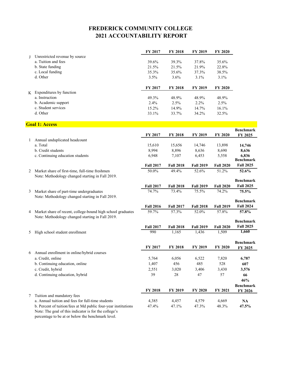|                                                | <b>FY 2017</b> | <b>FY 2018</b> | <b>FY 2019</b> | <b>FY 2020</b> |
|------------------------------------------------|----------------|----------------|----------------|----------------|
| Unrestricted revenue by source<br>$\mathbf{J}$ |                |                |                |                |
| a. Tuition and fees                            | 39.6%          | 39.3%          | 37.8%          | 35.6%          |
| b. State funding                               | 21.5%          | 21.5%          | 21.9%          | 22.8%          |
| c. Local funding                               | 35.3%          | 35.6%          | 37.3%          | 38.5%          |
| d. Other                                       | 3.5%           | $3.6\%$        | $3.1\%$        | $3.1\%$        |
|                                                | <b>FY 2017</b> | <b>FY 2018</b> | <b>FY 2019</b> | <b>FY 2020</b> |
| Expenditures by function<br>K                  |                |                |                |                |
| a. Instruction                                 | 49.3%          | 48.9%          | 48.9%          | 48.9%          |
| b. Academic support                            | $2.4\%$        | $2.5\%$        | $2.2\%$        | 2.5%           |
| c. Student services                            | $15.2\%$       | 14.9%          | 14.7%          | 16.1%          |
| d. Other                                       | 33.1%          | 33.7%          | 34.2%          | 32.5%          |

## **Goal 1: Access**

| Annual unduplicated headcount<br>a. Total<br>15,610<br>15,656<br>14,746<br>13,898<br>14,746<br>b. Credit students<br>8,994<br>8,896<br>8,636<br>8,690<br>8,636<br>6,948<br>7,107<br>6,453<br>c. Continuing education students<br>5,558<br>6,836<br><b>Benchmark</b><br><b>Fall 2025</b><br><b>Fall 2017</b><br><b>Fall 2018</b><br><b>Fall 2020</b><br><b>Fall 2019</b><br>50.0%<br>49.4%<br>52.6%<br>51.2%<br>Market share of first-time, full-time freshmen<br>52.6%<br>2<br>Note: Methodology changed starting in Fall 2019.<br><b>Benchmark</b><br><b>Fall 2025</b><br><b>Fall 2020</b><br><b>Fall 2017</b><br><b>Fall 2018</b><br><b>Fall 2019</b><br>Market share of part-time undergraduates<br>74.7%<br>73.4%<br>75.5%<br>74.2%<br>75.5%<br>3<br>Note: Methodology changed starting in Fall 2019.<br><b>Benchmark</b><br><b>Fall 2024</b><br><b>Fall 2019</b><br><b>Fall 2016</b><br><b>Fall 2017</b><br><b>Fall 2018</b><br>59.7%<br>57.3%<br>57.8%<br>Market share of recent, college-bound high school graduates<br>52.0%<br>57.8%<br>4<br>Note: Methodology changed starting in Fall 2019.<br><b>Benchmark</b><br><b>Fall 2025</b><br><b>Fall 2017</b><br><b>Fall 2018</b><br><b>Fall 2019</b><br><b>Fall 2020</b><br>1,660<br>990<br>1,165<br>1,436<br>1,509<br>High school student enrollment<br>5<br><b>Benchmark</b><br>FY 2017<br><b>FY 2018</b><br>FY 2019<br>FY 2020<br>FY 2025<br>Annual enrollment in online/hybrid courses<br>6<br>a. Credit, online<br>5,764<br>6,056<br>6,522<br>7,820<br>6,787<br>456<br>485<br>528<br>b. Continuing education, online<br>1,407<br>607<br>c. Credit, hybrid<br>2,551<br>3,020<br>3,406<br>3,430<br>3,576<br>d. Continuing education, hybrid<br>39<br>28<br>57<br>47<br>66<br>46% |  |         |                |         |                | <b>Benchmark</b> |
|-------------------------------------------------------------------------------------------------------------------------------------------------------------------------------------------------------------------------------------------------------------------------------------------------------------------------------------------------------------------------------------------------------------------------------------------------------------------------------------------------------------------------------------------------------------------------------------------------------------------------------------------------------------------------------------------------------------------------------------------------------------------------------------------------------------------------------------------------------------------------------------------------------------------------------------------------------------------------------------------------------------------------------------------------------------------------------------------------------------------------------------------------------------------------------------------------------------------------------------------------------------------------------------------------------------------------------------------------------------------------------------------------------------------------------------------------------------------------------------------------------------------------------------------------------------------------------------------------------------------------------------------------------------------------------------------------------------------------------------------|--|---------|----------------|---------|----------------|------------------|
|                                                                                                                                                                                                                                                                                                                                                                                                                                                                                                                                                                                                                                                                                                                                                                                                                                                                                                                                                                                                                                                                                                                                                                                                                                                                                                                                                                                                                                                                                                                                                                                                                                                                                                                                           |  | FY 2017 | <b>FY 2018</b> | FY 2019 | <b>FY 2020</b> | FY 2025          |
|                                                                                                                                                                                                                                                                                                                                                                                                                                                                                                                                                                                                                                                                                                                                                                                                                                                                                                                                                                                                                                                                                                                                                                                                                                                                                                                                                                                                                                                                                                                                                                                                                                                                                                                                           |  |         |                |         |                |                  |
|                                                                                                                                                                                                                                                                                                                                                                                                                                                                                                                                                                                                                                                                                                                                                                                                                                                                                                                                                                                                                                                                                                                                                                                                                                                                                                                                                                                                                                                                                                                                                                                                                                                                                                                                           |  |         |                |         |                |                  |
|                                                                                                                                                                                                                                                                                                                                                                                                                                                                                                                                                                                                                                                                                                                                                                                                                                                                                                                                                                                                                                                                                                                                                                                                                                                                                                                                                                                                                                                                                                                                                                                                                                                                                                                                           |  |         |                |         |                |                  |
|                                                                                                                                                                                                                                                                                                                                                                                                                                                                                                                                                                                                                                                                                                                                                                                                                                                                                                                                                                                                                                                                                                                                                                                                                                                                                                                                                                                                                                                                                                                                                                                                                                                                                                                                           |  |         |                |         |                |                  |
|                                                                                                                                                                                                                                                                                                                                                                                                                                                                                                                                                                                                                                                                                                                                                                                                                                                                                                                                                                                                                                                                                                                                                                                                                                                                                                                                                                                                                                                                                                                                                                                                                                                                                                                                           |  |         |                |         |                |                  |
|                                                                                                                                                                                                                                                                                                                                                                                                                                                                                                                                                                                                                                                                                                                                                                                                                                                                                                                                                                                                                                                                                                                                                                                                                                                                                                                                                                                                                                                                                                                                                                                                                                                                                                                                           |  |         |                |         |                |                  |
|                                                                                                                                                                                                                                                                                                                                                                                                                                                                                                                                                                                                                                                                                                                                                                                                                                                                                                                                                                                                                                                                                                                                                                                                                                                                                                                                                                                                                                                                                                                                                                                                                                                                                                                                           |  |         |                |         |                |                  |
|                                                                                                                                                                                                                                                                                                                                                                                                                                                                                                                                                                                                                                                                                                                                                                                                                                                                                                                                                                                                                                                                                                                                                                                                                                                                                                                                                                                                                                                                                                                                                                                                                                                                                                                                           |  |         |                |         |                |                  |
|                                                                                                                                                                                                                                                                                                                                                                                                                                                                                                                                                                                                                                                                                                                                                                                                                                                                                                                                                                                                                                                                                                                                                                                                                                                                                                                                                                                                                                                                                                                                                                                                                                                                                                                                           |  |         |                |         |                |                  |
|                                                                                                                                                                                                                                                                                                                                                                                                                                                                                                                                                                                                                                                                                                                                                                                                                                                                                                                                                                                                                                                                                                                                                                                                                                                                                                                                                                                                                                                                                                                                                                                                                                                                                                                                           |  |         |                |         |                |                  |
|                                                                                                                                                                                                                                                                                                                                                                                                                                                                                                                                                                                                                                                                                                                                                                                                                                                                                                                                                                                                                                                                                                                                                                                                                                                                                                                                                                                                                                                                                                                                                                                                                                                                                                                                           |  |         |                |         |                |                  |
|                                                                                                                                                                                                                                                                                                                                                                                                                                                                                                                                                                                                                                                                                                                                                                                                                                                                                                                                                                                                                                                                                                                                                                                                                                                                                                                                                                                                                                                                                                                                                                                                                                                                                                                                           |  |         |                |         |                |                  |
|                                                                                                                                                                                                                                                                                                                                                                                                                                                                                                                                                                                                                                                                                                                                                                                                                                                                                                                                                                                                                                                                                                                                                                                                                                                                                                                                                                                                                                                                                                                                                                                                                                                                                                                                           |  |         |                |         |                |                  |
|                                                                                                                                                                                                                                                                                                                                                                                                                                                                                                                                                                                                                                                                                                                                                                                                                                                                                                                                                                                                                                                                                                                                                                                                                                                                                                                                                                                                                                                                                                                                                                                                                                                                                                                                           |  |         |                |         |                |                  |
|                                                                                                                                                                                                                                                                                                                                                                                                                                                                                                                                                                                                                                                                                                                                                                                                                                                                                                                                                                                                                                                                                                                                                                                                                                                                                                                                                                                                                                                                                                                                                                                                                                                                                                                                           |  |         |                |         |                |                  |
|                                                                                                                                                                                                                                                                                                                                                                                                                                                                                                                                                                                                                                                                                                                                                                                                                                                                                                                                                                                                                                                                                                                                                                                                                                                                                                                                                                                                                                                                                                                                                                                                                                                                                                                                           |  |         |                |         |                |                  |
|                                                                                                                                                                                                                                                                                                                                                                                                                                                                                                                                                                                                                                                                                                                                                                                                                                                                                                                                                                                                                                                                                                                                                                                                                                                                                                                                                                                                                                                                                                                                                                                                                                                                                                                                           |  |         |                |         |                |                  |
|                                                                                                                                                                                                                                                                                                                                                                                                                                                                                                                                                                                                                                                                                                                                                                                                                                                                                                                                                                                                                                                                                                                                                                                                                                                                                                                                                                                                                                                                                                                                                                                                                                                                                                                                           |  |         |                |         |                |                  |
|                                                                                                                                                                                                                                                                                                                                                                                                                                                                                                                                                                                                                                                                                                                                                                                                                                                                                                                                                                                                                                                                                                                                                                                                                                                                                                                                                                                                                                                                                                                                                                                                                                                                                                                                           |  |         |                |         |                |                  |
|                                                                                                                                                                                                                                                                                                                                                                                                                                                                                                                                                                                                                                                                                                                                                                                                                                                                                                                                                                                                                                                                                                                                                                                                                                                                                                                                                                                                                                                                                                                                                                                                                                                                                                                                           |  |         |                |         |                |                  |
|                                                                                                                                                                                                                                                                                                                                                                                                                                                                                                                                                                                                                                                                                                                                                                                                                                                                                                                                                                                                                                                                                                                                                                                                                                                                                                                                                                                                                                                                                                                                                                                                                                                                                                                                           |  |         |                |         |                |                  |
|                                                                                                                                                                                                                                                                                                                                                                                                                                                                                                                                                                                                                                                                                                                                                                                                                                                                                                                                                                                                                                                                                                                                                                                                                                                                                                                                                                                                                                                                                                                                                                                                                                                                                                                                           |  |         |                |         |                |                  |
|                                                                                                                                                                                                                                                                                                                                                                                                                                                                                                                                                                                                                                                                                                                                                                                                                                                                                                                                                                                                                                                                                                                                                                                                                                                                                                                                                                                                                                                                                                                                                                                                                                                                                                                                           |  |         |                |         |                |                  |
|                                                                                                                                                                                                                                                                                                                                                                                                                                                                                                                                                                                                                                                                                                                                                                                                                                                                                                                                                                                                                                                                                                                                                                                                                                                                                                                                                                                                                                                                                                                                                                                                                                                                                                                                           |  |         |                |         |                |                  |
|                                                                                                                                                                                                                                                                                                                                                                                                                                                                                                                                                                                                                                                                                                                                                                                                                                                                                                                                                                                                                                                                                                                                                                                                                                                                                                                                                                                                                                                                                                                                                                                                                                                                                                                                           |  |         |                |         |                |                  |
|                                                                                                                                                                                                                                                                                                                                                                                                                                                                                                                                                                                                                                                                                                                                                                                                                                                                                                                                                                                                                                                                                                                                                                                                                                                                                                                                                                                                                                                                                                                                                                                                                                                                                                                                           |  |         |                |         |                |                  |
|                                                                                                                                                                                                                                                                                                                                                                                                                                                                                                                                                                                                                                                                                                                                                                                                                                                                                                                                                                                                                                                                                                                                                                                                                                                                                                                                                                                                                                                                                                                                                                                                                                                                                                                                           |  |         |                |         |                |                  |
|                                                                                                                                                                                                                                                                                                                                                                                                                                                                                                                                                                                                                                                                                                                                                                                                                                                                                                                                                                                                                                                                                                                                                                                                                                                                                                                                                                                                                                                                                                                                                                                                                                                                                                                                           |  |         |                |         |                | <b>Benchmark</b> |
| <b>FY 2018</b><br>FY 2019<br><b>FY 2020</b><br>FY 2021<br>FY 2026                                                                                                                                                                                                                                                                                                                                                                                                                                                                                                                                                                                                                                                                                                                                                                                                                                                                                                                                                                                                                                                                                                                                                                                                                                                                                                                                                                                                                                                                                                                                                                                                                                                                         |  |         |                |         |                |                  |
| Tuition and mandatory fees<br>7                                                                                                                                                                                                                                                                                                                                                                                                                                                                                                                                                                                                                                                                                                                                                                                                                                                                                                                                                                                                                                                                                                                                                                                                                                                                                                                                                                                                                                                                                                                                                                                                                                                                                                           |  |         |                |         |                |                  |
| a. Annual tuition and fees for full-time students<br>4,385<br>4,457<br>4,579<br>4,669<br>NA                                                                                                                                                                                                                                                                                                                                                                                                                                                                                                                                                                                                                                                                                                                                                                                                                                                                                                                                                                                                                                                                                                                                                                                                                                                                                                                                                                                                                                                                                                                                                                                                                                               |  |         |                |         |                |                  |
| b. Percent of tuition/fees at Md public four-year institutions<br>47.4%<br>47.1%<br>47.3%<br>48.3%<br>47.5%                                                                                                                                                                                                                                                                                                                                                                                                                                                                                                                                                                                                                                                                                                                                                                                                                                                                                                                                                                                                                                                                                                                                                                                                                                                                                                                                                                                                                                                                                                                                                                                                                               |  |         |                |         |                |                  |
| Note: The goal of this indicator is for the college's                                                                                                                                                                                                                                                                                                                                                                                                                                                                                                                                                                                                                                                                                                                                                                                                                                                                                                                                                                                                                                                                                                                                                                                                                                                                                                                                                                                                                                                                                                                                                                                                                                                                                     |  |         |                |         |                |                  |

percentage to be at or below the benchmark level.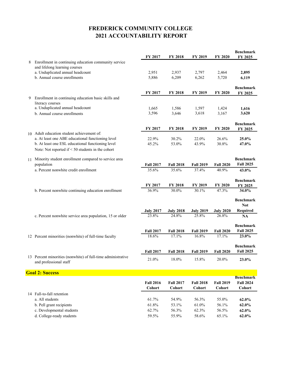|    |                                                                    | FY 2017                    | FY 2018                    | FY 2019                    | <b>FY 2020</b>             | <b>Benchmark</b><br>FY 2025 |
|----|--------------------------------------------------------------------|----------------------------|----------------------------|----------------------------|----------------------------|-----------------------------|
| 8  | Enrollment in continuing education community service               |                            |                            |                            |                            |                             |
|    | and lifelong learning courses                                      |                            |                            |                            |                            |                             |
|    | a. Unduplicated annual headcount                                   | 2,951                      | 2,937                      | 2,797                      | 2,464                      | 2,895                       |
|    | b. Annual course enrollments                                       | 5,886                      | 6,209                      | 6,262                      | 5,720                      | 6,119                       |
|    |                                                                    |                            |                            |                            |                            |                             |
|    |                                                                    | FY 2017                    | <b>FY 2018</b>             | FY 2019                    | <b>FY 2020</b>             | <b>Benchmark</b>            |
| 9  | Enrollment in continuing education basic skills and                |                            |                            |                            |                            | FY 2025                     |
|    | literacy courses                                                   |                            |                            |                            |                            |                             |
|    | a. Unduplicated annual headcount                                   | 1,665                      | 1,586                      | 1,597                      | 1,424                      | 1,616                       |
|    | b. Annual course enrollments                                       | 3,596                      | 3,646                      | 3,618                      | 3,167                      | 3,620                       |
|    |                                                                    |                            |                            |                            |                            |                             |
|    |                                                                    | FY 2017                    | <b>FY 2018</b>             | FY 2019                    | FY 2020                    | <b>Benchmark</b>            |
|    | 10 Adult education student achievement of:                         |                            |                            |                            |                            | FY 2025                     |
|    | a. At least one ABE educational functioning level                  | 22.9%                      | 30.2%                      | 22.0%                      | 26.6%                      | 25.0%                       |
|    | b. At least one ESL educational functioning level                  | 45.2%                      | 53.0%                      | 43.9%                      | 30.8%                      | 47.0%                       |
|    | Note: Not reported if < 50 students in the cohort                  |                            |                            |                            |                            |                             |
|    |                                                                    |                            |                            |                            |                            | <b>Benchmark</b>            |
| 11 | Minority student enrollment compared to service area<br>population | <b>Fall 2017</b>           | <b>Fall 2018</b>           | <b>Fall 2019</b>           | <b>Fall 2020</b>           | <b>Fall 2025</b>            |
|    | a. Percent nonwhite credit enrollment                              | 35.6%                      | 35.6%                      | 37.4%                      | 40.9%                      | 43.0%                       |
|    |                                                                    |                            |                            |                            |                            |                             |
|    |                                                                    |                            |                            |                            |                            | <b>Benchmark</b>            |
|    |                                                                    | FY 2017                    | FY 2018                    | FY 2019                    | <b>FY 2020</b>             | FY 2025                     |
|    | b. Percent nonwhite continuing education enrollment                | 36.9%                      | 30.0%                      | 30.1%                      | 47.3%                      | 34.0%                       |
|    |                                                                    |                            |                            |                            |                            | <b>Benchmark</b>            |
|    |                                                                    |                            |                            |                            |                            | <b>Not</b>                  |
|    |                                                                    | <b>July 2017</b>           | <b>July 2018</b>           | <b>July 2019</b>           | <b>July 2020</b>           | Required                    |
|    | c. Percent nonwhite service area population, 15 or older           | 23.8%                      | 24.8%                      | 25.8%                      | 26.8%                      | <b>NA</b>                   |
|    |                                                                    |                            |                            |                            |                            | <b>Benchmark</b>            |
|    |                                                                    | <b>Fall 2017</b>           | <b>Fall 2018</b>           | <b>Fall 2019</b>           | <b>Fall 2020</b>           | <b>Fall 2025</b>            |
|    | 12 Percent minorities (nonwhite) of full-time faculty              | 18.6%                      | 17.1%                      | 16.8%                      | 17.1%                      | 23.0%                       |
|    |                                                                    |                            |                            |                            |                            |                             |
|    |                                                                    |                            |                            |                            |                            | <b>Benchmark</b>            |
|    | 13 Percent minorities (nonwhite) of full-time administrative       | <b>Fall 2017</b>           | <b>Fall 2018</b>           | <b>Fall 2019</b>           | <b>Fall 2020</b>           | <b>Fall 2025</b>            |
|    | and professional staff                                             | 21.0%                      | 18.0%                      | 15.8%                      | 20.0%                      | 23.0%                       |
|    |                                                                    |                            |                            |                            |                            |                             |
|    | <b>Goal 2: Success</b>                                             |                            |                            |                            |                            |                             |
|    |                                                                    |                            |                            |                            |                            | <b>Benchmark</b>            |
|    |                                                                    | <b>Fall 2016</b><br>Cohort | <b>Fall 2017</b><br>Cohort | <b>Fall 2018</b><br>Cohort | <b>Fall 2019</b><br>Cohort | <b>Fall 2024</b><br>Cohort  |
|    | 14 Fall-to-fall retention                                          |                            |                            |                            |                            |                             |
|    | a. All students                                                    | 61.7%                      | 54.9%                      | 56.3%                      | 55.0%                      | 62.0%                       |
|    | b. Pell grant recipients                                           | 61.8%                      | 53.1%                      | 61.0%                      | 56.1%                      | 62.0%                       |
|    | c. Developmental students                                          | 62.7%                      | 56.3%                      | 62.3%                      | 56.5%                      | 62.0%                       |
|    | d. College-ready students                                          | 59.5%                      | 55.9%                      | 58.6%                      | 65.1%                      | 62.0%                       |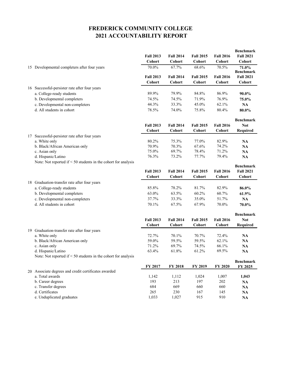|     |                                                                      |                  |                  |                  |                  | <b>Benchmark</b>          |
|-----|----------------------------------------------------------------------|------------------|------------------|------------------|------------------|---------------------------|
|     |                                                                      | <b>Fall 2013</b> | <b>Fall 2014</b> | <b>Fall 2015</b> | <b>Fall 2016</b> | <b>Fall 2021</b>          |
|     |                                                                      | <b>Cohort</b>    | <b>Cohort</b>    | Cohort           | <b>Cohort</b>    | Cohort                    |
|     | 15 Developmental completers after four years                         | 70.0%            | 67.7%            | 68.6%            | 70.5%            | 71.0%<br><b>Benchmark</b> |
|     |                                                                      | <b>Fall 2013</b> | <b>Fall 2014</b> | <b>Fall 2015</b> | <b>Fall 2016</b> | <b>Fall 2021</b>          |
|     |                                                                      | <b>Cohort</b>    | Cohort           | Cohort           | Cohort           | Cohort                    |
|     | 16 Successful-persister rate after four years                        |                  |                  |                  |                  |                           |
|     | a. College-ready students                                            | 89.9%            | 79.9%            | 84.8%            | 86.9%            | 90.0%                     |
|     | b. Developmental completers                                          | 74.5%            | 74.5%            | 71.9%            | 76.9%            | 75.0%                     |
|     | c. Developmental non-completers                                      | 44.3%            | 33.3%            | 45.0%            | 62.1%            | NA                        |
|     | d. All students in cohort                                            | 78.5%            | 74.0%            | 75.8%            | 80.4%            | 80.0%                     |
|     |                                                                      |                  |                  |                  |                  | <b>Benchmark</b>          |
|     |                                                                      | <b>Fall 2013</b> | <b>Fall 2014</b> | <b>Fall 2015</b> | <b>Fall 2016</b> | <b>Not</b>                |
|     |                                                                      | <b>Cohort</b>    | <b>Cohort</b>    | Cohort           | Cohort           | Required                  |
| 17  | Successful-persister rate after four years                           |                  |                  |                  |                  |                           |
|     | a. White only                                                        | 80.2%            | 75.3%            | 77.0%            | 82.9%            | <b>NA</b>                 |
|     | b. Black/African American only                                       | 70.9%            | 70.3%            | 67.6%            | 74.2%            | NA                        |
|     | c. Asian only                                                        | 75.0%            | 69.7%            | 78.4%            | 71.2%            | <b>NA</b>                 |
|     | d. Hispanic/Latino                                                   | 76.3%            | 73.2%            | 77.7%            | 79.4%            | <b>NA</b>                 |
|     | Note: Not reported if $\leq$ 50 students in the cohort for analysis  |                  |                  |                  |                  | <b>Benchmark</b>          |
|     |                                                                      | <b>Fall 2013</b> | <b>Fall 2014</b> | <b>Fall 2015</b> | <b>Fall 2016</b> | <b>Fall 2021</b>          |
|     |                                                                      | Cohort           | Cohort           | Cohort           | Cohort           | Cohort                    |
| 18. | Graduation-transfer rate after four years                            |                  |                  |                  |                  |                           |
|     | a. College-ready students                                            | 85.8%            | 78.2%            | 81.7%            | 82.9%            | 86.0%                     |
|     | b. Developmental completers                                          | 63.0%            | 63.5%            | 60.2%            | 60.7%            | 61.9%                     |
|     | c. Developmental non-completers                                      | 37.7%            | 33.3%            | 35.0%            | 51.7%            | NA                        |
|     | d. All students in cohort                                            | 70.1%            | 67.5%            | 67.9%            | 70.0%            | 70.0%                     |
|     |                                                                      |                  |                  |                  |                  | <b>Benchmark</b>          |
|     |                                                                      | <b>Fall 2013</b> | <b>Fall 2014</b> | <b>Fall 2015</b> | <b>Fall 2016</b> | <b>Not</b>                |
|     |                                                                      | <b>Cohort</b>    | Cohort           | Cohort           | Cohort           | <b>Required</b>           |
|     | 19 Graduation-transfer rate after four years                         |                  |                  |                  |                  |                           |
|     | a. White only                                                        | 72.7%            | 70.1%            | 70.7%            | 72.4%            | NA                        |
|     | b. Black/African American only                                       | 59.0%            | 59.5%            | 59.5%            | 62.1%            | NA                        |
|     | c. Asian only                                                        | 71.2%            | 69.7%            | 74.5%            | 66.1%            | NA                        |
|     | d. Hispanic/Latino                                                   | 63.4%            | 61.8%            | 61.2%            | 69.5%            | NA                        |
|     | Note: Not reported if $\leq 50$ students in the cohort for analysis  |                  |                  |                  |                  |                           |
|     |                                                                      |                  |                  |                  |                  | <b>Benchmark</b>          |
|     |                                                                      | FY 2017          | FY 2018          | FY 2019          | <b>FY 2020</b>   | FY 2025                   |
| 20  | Associate degrees and credit certificates awarded<br>a. Total awards | 1,142            | 1,112            | 1,024            | 1,007            | 1,043                     |
|     | b. Career degrees                                                    | 193              | 213              | 197              | 202              | NA                        |
|     | c. Transfer degrees                                                  | 684              | 669              | 660              | 660              | NA                        |
|     | d. Certificates                                                      | 265              | 230              | 167              | 145              | NA                        |
|     | e. Unduplicated graduates                                            | 1,033            | 1,027            | 915              | 910              | NA                        |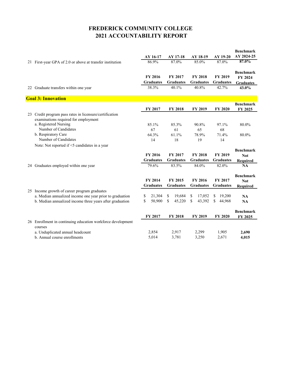|    |                                                                        |                  |                  |                  |                  | <b>Benchmark</b> |
|----|------------------------------------------------------------------------|------------------|------------------|------------------|------------------|------------------|
|    |                                                                        | AY 16-17         | AY 17-18         | AY 18-19         | AY 19-20         | AY 2024-25       |
|    | 21 First-year GPA of 2.0 or above at transfer institution              | 86.9%            | 87.0%            | 85.0%            | 87.0%            | 87.0%            |
|    |                                                                        |                  |                  |                  |                  |                  |
|    |                                                                        |                  |                  |                  |                  | <b>Benchmark</b> |
|    |                                                                        | <b>FY 2016</b>   | FY 2017          | <b>FY 2018</b>   | <b>FY 2019</b>   | FY 2024          |
|    |                                                                        | <b>Graduates</b> | <b>Graduates</b> | <b>Graduates</b> | <b>Graduates</b> | <b>Graduates</b> |
|    | 22 Graduate transfers within one year                                  | 38.3%            | 40.1%            | 40.8%            | 42.7%            | 43.0%            |
|    |                                                                        |                  |                  |                  |                  |                  |
|    | <b>Goal 3: Innovation</b>                                              |                  |                  |                  |                  |                  |
|    |                                                                        |                  |                  |                  |                  | <b>Benchmark</b> |
|    |                                                                        | FY 2017          | <b>FY 2018</b>   | FY 2019          | <b>FY 2020</b>   | FY 2025          |
| 23 | Credit program pass rates in licensure/certification                   |                  |                  |                  |                  |                  |
|    | examinations required for employment                                   |                  |                  |                  |                  |                  |
|    | a. Registered Nursing                                                  | 85.1%            | 85.3%            | 90.8%            | 97.1%            | 80.0%            |
|    | Number of Candidates                                                   | 67               | 61               | 65               | 68               |                  |
|    | b. Respiratory Care                                                    | 64.3%            | 61.1%            | 78.9%            | 71.4%            | 80.0%            |
|    | Number of Candidates                                                   | 14               | 18               | 19               | 14               |                  |
|    | Note: Not reported if <5 candidates in a year                          |                  |                  |                  |                  |                  |
|    |                                                                        |                  |                  |                  |                  | <b>Benchmark</b> |
|    |                                                                        | FY 2016          | FY 2017          | <b>FY 2018</b>   | FY 2019          | <b>Not</b>       |
|    |                                                                        | <b>Graduates</b> | <b>Graduates</b> | <b>Graduates</b> | <b>Graduates</b> | <b>Required</b>  |
|    | 24 Graduates employed within one year                                  | 79.6%            | 83.5%            | 84.0%            | 82.0%            | <b>NA</b>        |
|    |                                                                        |                  |                  |                  |                  |                  |
|    |                                                                        |                  |                  |                  |                  | <b>Benchmark</b> |
|    |                                                                        | FY 2014          | FY 2015          | FY 2016          | FY 2017          | <b>Not</b>       |
|    |                                                                        | <b>Graduates</b> | <b>Graduates</b> | <b>Graduates</b> | <b>Graduates</b> | <b>Required</b>  |
|    |                                                                        |                  |                  |                  |                  |                  |
|    | 25 Income growth of career program graduates                           |                  |                  |                  |                  |                  |
|    | a. Median annualized income one year prior to graduation               | 21,304<br>\$     | 19,684<br>S.     | \$<br>17,052     | S.<br>19,200     | <b>NA</b>        |
|    | b. Median annualized income three years after graduation               | \$<br>50,900     | 45,220<br>\$     | \$<br>43,392     | \$<br>44,968     | NA               |
|    |                                                                        |                  |                  |                  |                  |                  |
|    |                                                                        |                  |                  |                  |                  | <b>Benchmark</b> |
|    |                                                                        | FY 2017          | <b>FY 2018</b>   | FY 2019          | <b>FY 2020</b>   | FY 2025          |
|    | 26 Enrollment in continuing education workforce development<br>courses |                  |                  |                  |                  |                  |
|    |                                                                        |                  |                  |                  |                  |                  |
|    | a. Unduplicated annual headcount<br>b. Annual course enrollments       | 2,854<br>5,014   | 2,917<br>3,781   | 2,299<br>3,250   | 1,905<br>2,671   | 2,690<br>4,015   |